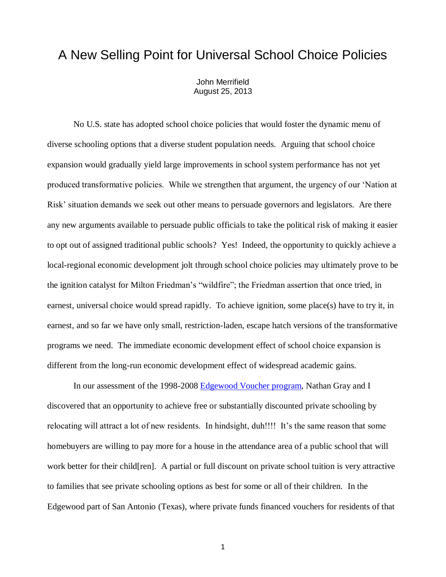## A New Selling Point for Universal School Choice Policies

John Merrifield August 25, 2013

No U.S. state has adopted school choice policies that would foster the dynamic menu of diverse schooling options that a diverse student population needs. Arguing that school choice expansion would gradually yield large improvements in school system performance has not yet produced transformative policies. While we strengthen that argument, the urgency of our 'Nation at Risk' situation demands we seek out other means to persuade governors and legislators. Are there any new arguments available to persuade public officials to take the political risk of making it easier to opt out of assigned traditional public schools? Yes! Indeed, the opportunity to quickly achieve a local-regional economic development jolt through school choice policies may ultimately prove to be the ignition catalyst for Milton Friedman's "wildfire"; the Friedman assertion that once tried, in earnest, universal choice would spread rapidly. To achieve ignition, some place(s) have to try it, in earnest, and so far we have only small, restriction-laden, escape hatch versions of the transformative programs we need. The immediate economic development effect of school choice expansion is different from the long-run economic development effect of widespread academic gains.

In our assessment of the 1998-2008 [Edgewood Voucher program,](http://faculty.business.utsa.edu/jmerrifi/evp.pdf) Nathan Gray and I discovered that an opportunity to achieve free or substantially discounted private schooling by relocating will attract a lot of new residents. In hindsight, duh!!!! It's the same reason that some homebuyers are willing to pay more for a house in the attendance area of a public school that will work better for their child[ren]. A partial or full discount on private school tuition is very attractive to families that see private schooling options as best for some or all of their children. In the Edgewood part of San Antonio (Texas), where private funds financed vouchers for residents of that

1